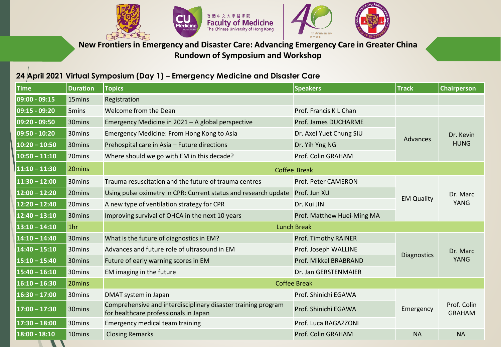



**New Frontiers in Emergency and Disaster Care: Advancing Emergency Care in Greater China Rundown of Symposium and Workshop**

## **24 April 2021 Virtual Symposium (Day 1) – Emergency Medicine and Disaster Care**

 $H_{\mathcal{A}}$ 

 $\mathcal{L}$ 

| <b>Time</b>                           | <b>Duration</b> | <b>Topics</b>                                                                                          | <b>Speakers</b>            | <b>Track</b>      | <b>Chairperson</b>           |
|---------------------------------------|-----------------|--------------------------------------------------------------------------------------------------------|----------------------------|-------------------|------------------------------|
| 09:00 - 09:15                         | 15mins          | Registration                                                                                           |                            |                   |                              |
| 09:15 - 09:20                         | 5mins           | Welcome from the Dean                                                                                  | Prof. Francis K L Chan     |                   |                              |
| 09:20 - 09:50                         | 30mins          | Emergency Medicine in 2021 - A global perspective                                                      | Prof. James DUCHARME       | Advances          | Dr. Kevin<br><b>HUNG</b>     |
| 09:50 - 10:20                         | 30mins          | Emergency Medicine: From Hong Kong to Asia                                                             | Dr. Axel Yuet Chung SIU    |                   |                              |
| $10:20 - 10:50$                       | 30mins          | Prehospital care in Asia - Future directions                                                           | Dr. Yih Yng NG             |                   |                              |
| $\overline{10:}50 - \overline{11:}10$ | 20mins          | Where should we go with EM in this decade?                                                             | Prof. Colin GRAHAM         |                   |                              |
| $11:10 - 11:30$                       | 20mins          | <b>Coffee Break</b>                                                                                    |                            |                   |                              |
| $11:30 - 12:00$                       | 30mins          | Trauma resuscitation and the future of trauma centres                                                  | Prof. Peter CAMERON        | <b>EM Quality</b> | Dr. Marc<br>YANG             |
| $12:00 - 12:20$                       | 20mins          | Using pulse oximetry in CPR: Current status and research update                                        | Prof. Jun XU               |                   |                              |
| $12:20 - 12:40$                       | 20mins          | A new type of ventilation strategy for CPR                                                             | Dr. Kui JIN                |                   |                              |
| $12:40 - 13:10$                       | 30mins          | Improving survival of OHCA in the next 10 years                                                        | Prof. Matthew Huei-Ming MA |                   |                              |
| $13:10 - 14:10$                       | 1hr             | <b>Lunch Break</b>                                                                                     |                            |                   |                              |
| $14:10 - 14:40$                       | 30mins          | What is the future of diagnostics in EM?                                                               | Prof. Timothy RAINER       | Diagnostics       | Dr. Marc<br><b>YANG</b>      |
| $14:40 - 15:10$                       | 30mins          | Advances and future role of ultrasound in EM                                                           | Prof. Joseph WALLINE       |                   |                              |
| $15:10 - 15:40$                       | 30mins          | Future of early warning scores in EM                                                                   | Prof. Mikkel BRABRAND      |                   |                              |
| $15:40 - 16:10$                       | 30mins          | EM imaging in the future                                                                               | Dr. Jan GERSTENMAIER       |                   |                              |
| $16:10 - 16:30$                       | 20mins          | <b>Coffee Break</b>                                                                                    |                            |                   |                              |
| $16:30 - 17:00$                       | 30mins          | DMAT system in Japan                                                                                   | Prof. Shinichi EGAWA       | Emergency         | Prof. Colin<br><b>GRAHAM</b> |
| $17:00 - 17:30$                       | 30mins          | Comprehensive and interdisciplinary disaster training program<br>for healthcare professionals in Japan | Prof. Shinichi EGAWA       |                   |                              |
| $17:30 - 18:00$                       | 30mins          | Emergency medical team training                                                                        | Prof. Luca RAGAZZONI       |                   |                              |
| 18:00 - 18:10                         | 10mins          | <b>Closing Remarks</b>                                                                                 | Prof. Colin GRAHAM         | <b>NA</b>         | <b>NA</b>                    |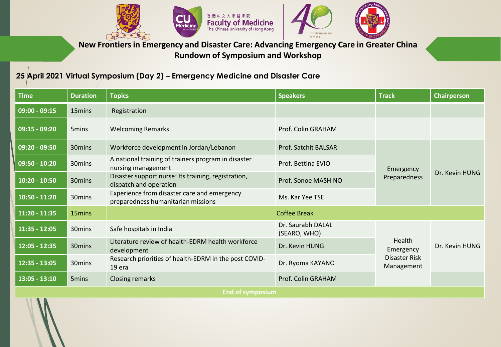



**New Frontiers in Emergency and Disaster Care: Advancing Emergency Care in Greater China Rundown of Symposium and Workshop**

## **25 April 2021 Virtual Symposium (Day 2) – Emergency Medicine and Disaster Care**

| <b>Time</b>      | <b>Duration</b>    | <b>Topics</b>                                                                     | <b>Speakers</b>                   | <b>Track</b>                                              | <b>Chairperson</b> |  |  |
|------------------|--------------------|-----------------------------------------------------------------------------------|-----------------------------------|-----------------------------------------------------------|--------------------|--|--|
| $09:00 - 09:15$  | 15mins             | Registration                                                                      |                                   |                                                           |                    |  |  |
| $09:15 - 09:20$  | 5 <sub>mins</sub>  | <b>Welcoming Remarks</b>                                                          | Prof. Colin GRAHAM                |                                                           |                    |  |  |
| $09:20 - 09:50$  | 30mins             | Workforce development in Jordan/Lebanon                                           | Prof. Satchit BALSARI             | Emergency<br>Preparedness                                 | Dr. Kevin HUNG     |  |  |
| $09:50 - 10:20$  | 30mins             | A national training of trainers program in disaster<br>nursing management         | Prof. Bettina EVIO                |                                                           |                    |  |  |
| $10:20 - 10:50$  | 30 <sub>mins</sub> | Disaster support nurse: Its training, registration,<br>dispatch and operation     | Prof. Sonoe MASHINO               |                                                           |                    |  |  |
| $10:50 - 11:20$  | 30 <sub>mins</sub> | Experience from disaster care and emergency<br>preparedness humanitarian missions | Ms. Kar Yee TSE                   |                                                           |                    |  |  |
| $11:20 - 11:35$  | 15mins             |                                                                                   | <b>Coffee Break</b>               |                                                           |                    |  |  |
| $11:35 - 12:05$  | 30mins             | Safe hospitals in India                                                           | Dr. Saurabh DALAL<br>(SEARO, WHO) | Health<br>Emergency<br><b>Disaster Risk</b><br>Management | Dr. Kevin HUNG     |  |  |
| $12:05 - 12:35$  | 30mins             | Literature review of health-EDRM health workforce<br>development                  | Dr. Kevin HUNG                    |                                                           |                    |  |  |
| $12:35 - 13:05$  | 30mins             | Research priorities of health-EDRM in the post COVID-<br>19 era                   | Dr. Ryoma KAYANO                  |                                                           |                    |  |  |
| $13:05 - 13:10$  | 5 <sub>mins</sub>  | <b>Closing remarks</b>                                                            | Prof. Colin GRAHAM                |                                                           |                    |  |  |
| End of symposium |                    |                                                                                   |                                   |                                                           |                    |  |  |